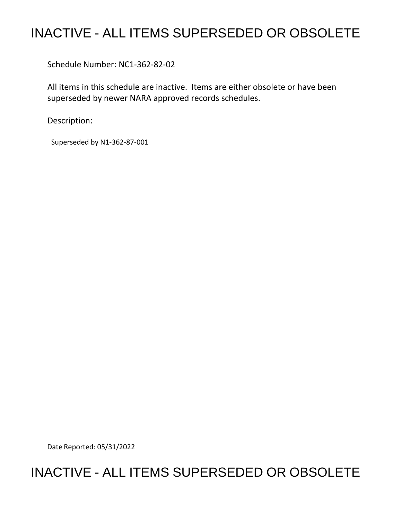## INACTIVE - ALL ITEMS SUPERSEDED OR OBSOLETE

Schedule Number: NC1-362-82-02

 All items in this schedule are inactive. Items are either obsolete or have been superseded by newer NARA approved records schedules.

Description:

Superseded by N1-362-87-001

Date Reported: 05/31/2022

## INACTIVE - ALL ITEMS SUPERSEDED OR OBSOLETE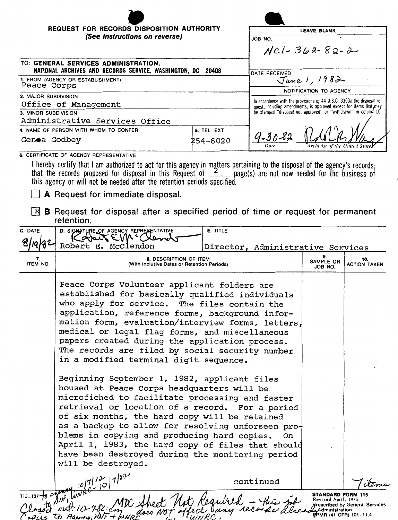| <b>REQUEST FOR RECORDS DISPOSITION AUTHORITY</b>                                                    |              | <b>LEAVE BLANK</b>                                                                                                                                                                                              |  |  |
|-----------------------------------------------------------------------------------------------------|--------------|-----------------------------------------------------------------------------------------------------------------------------------------------------------------------------------------------------------------|--|--|
| (See Instructions on reverse)                                                                       |              | JOB 'NO.                                                                                                                                                                                                        |  |  |
|                                                                                                     |              | $NCl-362-82-2$                                                                                                                                                                                                  |  |  |
| TO: GENERAL SERVICES ADMINISTRATION,<br>NATIONAL ARCHIVES AND RECORDS SERVICE, WASHINGTON, DC 20408 |              | DATE RECEIVED                                                                                                                                                                                                   |  |  |
| 1. FROM (AGENCY OR ESTABLISHMENT)<br>Peace Corps                                                    |              | June 1, 1982                                                                                                                                                                                                    |  |  |
|                                                                                                     |              | NOTIFICATION TO AGENCY                                                                                                                                                                                          |  |  |
| 2. MAJOR SUBDIVISION                                                                                |              | In accordance with the provisions of 44 U.S.C. 3303a the disposal re-<br>quest, including amendments, is approved except for items that, may<br>be stamped "disposal not approved" or "withdrawn" in column 10. |  |  |
| Office of Management                                                                                |              |                                                                                                                                                                                                                 |  |  |
| 3. MINOR SUBDIVISION                                                                                |              |                                                                                                                                                                                                                 |  |  |
| Administrative Services Office                                                                      |              |                                                                                                                                                                                                                 |  |  |
| 4. NAME OF PERSON WITH WHOM TO CONFER                                                               | 5. TEL. EXT. |                                                                                                                                                                                                                 |  |  |
| Genoa Godbey                                                                                        | 254-6020     | $4 - 30 - 82$<br>Archivist of the United Stat<br>Date                                                                                                                                                           |  |  |
| A CERTICICATE OF ACENCY REPRESENTATIVE.                                                             |              |                                                                                                                                                                                                                 |  |  |

CY REPRESENTAT

I hereby certify that I am authorized to act for this agency in matters pertaining to the disposal of the agency's records; that the records proposed for disposal in this Request of  $\frac{2}{2}$  page(s) are not now needed for the business of this agency or will not be needed after the retention periods specified.

D A Request for immediate disposal.

[}9 **B** Request for disposal after a specified period of time or request for permanent retention.

| C. DATE          | D. SIGNATURE OF AGENCY REPRESENTATIVE                                                                                                                                                                                                                                                                                                                                                                                                                                                                                                                                                                                                                                                                                                                                                                                                                                                                                                           | E. TITLE                          |                                                                                               |                                       |  |  |
|------------------|-------------------------------------------------------------------------------------------------------------------------------------------------------------------------------------------------------------------------------------------------------------------------------------------------------------------------------------------------------------------------------------------------------------------------------------------------------------------------------------------------------------------------------------------------------------------------------------------------------------------------------------------------------------------------------------------------------------------------------------------------------------------------------------------------------------------------------------------------------------------------------------------------------------------------------------------------|-----------------------------------|-----------------------------------------------------------------------------------------------|---------------------------------------|--|--|
|                  | Robert E. McClendon                                                                                                                                                                                                                                                                                                                                                                                                                                                                                                                                                                                                                                                                                                                                                                                                                                                                                                                             | Director, Administrative Services |                                                                                               |                                       |  |  |
| 7.<br>ITEM NO.   | 8. DESCRIPTION OF ITEM<br>(With Inclusive Dates or Retention Periods)                                                                                                                                                                                                                                                                                                                                                                                                                                                                                                                                                                                                                                                                                                                                                                                                                                                                           |                                   | 9.<br>SAMPLE OR<br>JOB NO.                                                                    | 10.<br><b>ACTION TAKEN</b>            |  |  |
|                  | Peace Corps Volunteer applicant folders are<br>established for basically qualified individuals<br>who apply for service. The files contain the<br>application, reference forms, background infor-<br>mation form, evaluation/interview forms, letters,<br>medical or legal flag forms, and miscellaneous<br>papers created during the application process.<br>The records are filed by social security number<br>in a modified terminal digit sequence.<br>Beginning September 1, 1982, applicant files<br>housed at Peace Corps headquarters will be<br>microfiched to facilitate processing and faster<br>retrieval or location of a record. For a period<br>of six months, the hard copy will be retained<br>as a backup to allow for resolving unforseen pro-<br>blems in copying and producing hard copies.<br>April 1, 1983, the hard copy of files that should<br>have been destroyed during the monitoring period<br>will be destroyed. | On                                |                                                                                               |                                       |  |  |
|                  | $\frac{10 7 72}{100}$ 7/82                                                                                                                                                                                                                                                                                                                                                                                                                                                                                                                                                                                                                                                                                                                                                                                                                                                                                                                      | continued                         |                                                                                               |                                       |  |  |
| 115-107-10 again |                                                                                                                                                                                                                                                                                                                                                                                                                                                                                                                                                                                                                                                                                                                                                                                                                                                                                                                                                 |                                   | <b>STANDARD FORM 115</b><br>Revised April, 1975<br>LeAdministration<br>FPMR (41 CFR) 101-11.4 | <b>Brescribed by General Services</b> |  |  |